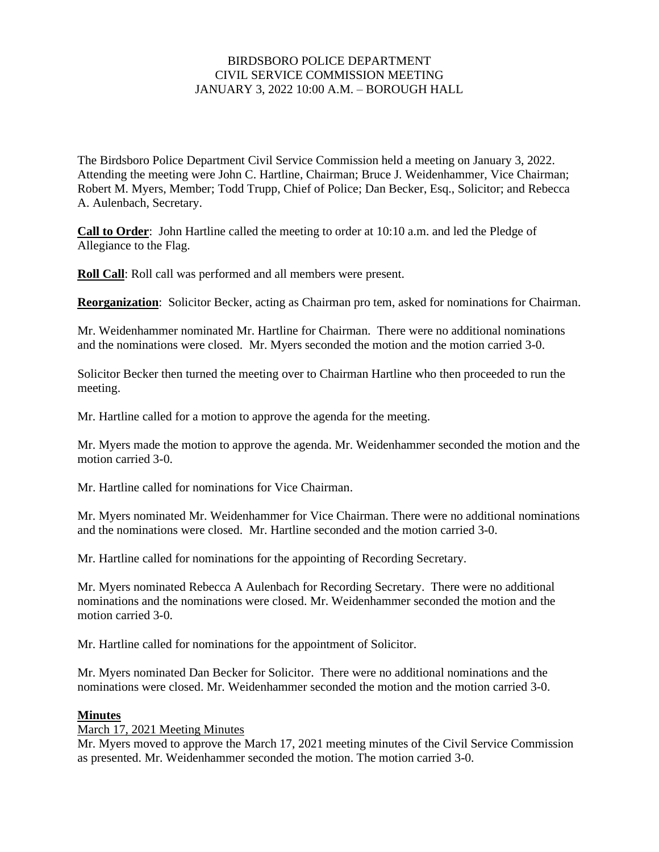# BIRDSBORO POLICE DEPARTMENT CIVIL SERVICE COMMISSION MEETING JANUARY 3, 2022 10:00 A.M. – BOROUGH HALL

The Birdsboro Police Department Civil Service Commission held a meeting on January 3, 2022. Attending the meeting were John C. Hartline, Chairman; Bruce J. Weidenhammer, Vice Chairman; Robert M. Myers, Member; Todd Trupp, Chief of Police; Dan Becker, Esq., Solicitor; and Rebecca A. Aulenbach, Secretary.

**Call to Order**: John Hartline called the meeting to order at 10:10 a.m. and led the Pledge of Allegiance to the Flag.

**Roll Call**: Roll call was performed and all members were present.

**Reorganization**: Solicitor Becker, acting as Chairman pro tem, asked for nominations for Chairman.

Mr. Weidenhammer nominated Mr. Hartline for Chairman. There were no additional nominations and the nominations were closed. Mr. Myers seconded the motion and the motion carried 3-0.

Solicitor Becker then turned the meeting over to Chairman Hartline who then proceeded to run the meeting.

Mr. Hartline called for a motion to approve the agenda for the meeting.

Mr. Myers made the motion to approve the agenda. Mr. Weidenhammer seconded the motion and the motion carried 3-0.

Mr. Hartline called for nominations for Vice Chairman.

Mr. Myers nominated Mr. Weidenhammer for Vice Chairman. There were no additional nominations and the nominations were closed. Mr. Hartline seconded and the motion carried 3-0.

Mr. Hartline called for nominations for the appointing of Recording Secretary.

Mr. Myers nominated Rebecca A Aulenbach for Recording Secretary. There were no additional nominations and the nominations were closed. Mr. Weidenhammer seconded the motion and the motion carried 3-0.

Mr. Hartline called for nominations for the appointment of Solicitor.

Mr. Myers nominated Dan Becker for Solicitor. There were no additional nominations and the nominations were closed. Mr. Weidenhammer seconded the motion and the motion carried 3-0.

#### **Minutes**

#### March 17, 2021 Meeting Minutes

Mr. Myers moved to approve the March 17, 2021 meeting minutes of the Civil Service Commission as presented. Mr. Weidenhammer seconded the motion. The motion carried 3-0.